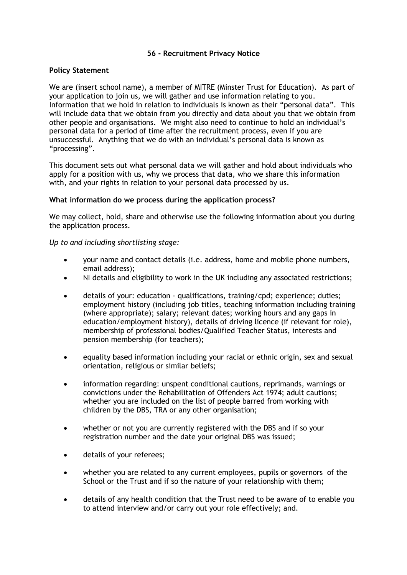## **56 - Recruitment Privacy Notice**

## **Policy Statement**

We are (insert school name), a member of MITRE (Minster Trust for Education). As part of your application to join us, we will gather and use information relating to you. Information that we hold in relation to individuals is known as their "personal data". This will include data that we obtain from you directly and data about you that we obtain from other people and organisations. We might also need to continue to hold an individual's personal data for a period of time after the recruitment process, even if you are unsuccessful. Anything that we do with an individual's personal data is known as "processing".

This document sets out what personal data we will gather and hold about individuals who apply for a position with us, why we process that data, who we share this information with, and your rights in relation to your personal data processed by us.

### **What information do we process during the application process?**

We may collect, hold, share and otherwise use the following information about you during the application process.

*Up to and including shortlisting stage:*

- your name and contact details (i.e. address, home and mobile phone numbers, email address);
- NI details and eligibility to work in the UK including any associated restrictions;
- details of your: education qualifications, training/cpd; experience; duties; employment history (including job titles, teaching information including training (where appropriate); salary; relevant dates; working hours and any gaps in education/employment history), details of driving licence (if relevant for role), membership of professional bodies/Qualified Teacher Status, interests and pension membership (for teachers);
- equality based information including your racial or ethnic origin, sex and sexual orientation, religious or similar beliefs;
- information regarding: unspent conditional cautions, reprimands, warnings or convictions under the Rehabilitation of Offenders Act 1974; adult cautions; whether you are included on the list of people barred from working with children by the DBS, TRA or any other organisation;
- whether or not you are currently registered with the DBS and if so your registration number and the date your original DBS was issued;
- details of your referees;
- whether you are related to any current employees, pupils or governors of the School or the Trust and if so the nature of your relationship with them;
- details of any health condition that the Trust need to be aware of to enable you to attend interview and/or carry out your role effectively; and.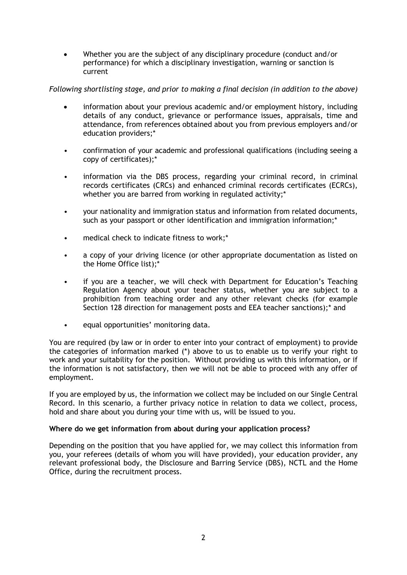• Whether you are the subject of any disciplinary procedure (conduct and/or performance) for which a disciplinary investigation, warning or sanction is current

# *Following shortlisting stage, and prior to making a final decision (in addition to the above)*

- information about your previous academic and/or employment history, including details of any conduct, grievance or performance issues, appraisals, time and attendance, from references obtained about you from previous employers and/or education providers;\*
- confirmation of your academic and professional qualifications (including seeing a copy of certificates);\*
- information via the DBS process, regarding your criminal record, in criminal records certificates (CRCs) and enhanced criminal records certificates (ECRCs), whether you are barred from working in regulated activity;\*
- your nationality and immigration status and information from related documents, such as your passport or other identification and immigration information;<sup>\*</sup>
- medical check to indicate fitness to work;\*
- a copy of your driving licence (or other appropriate documentation as listed on the Home Office list);\*
- if you are a teacher, we will check with Department for Education's Teaching Regulation Agency about your teacher status, whether you are subject to a prohibition from teaching order and any other relevant checks (for example Section 128 direction for management posts and EEA teacher sanctions);\* and
- equal opportunities' monitoring data.

You are required (by law or in order to enter into your contract of employment) to provide the categories of information marked (\*) above to us to enable us to verify your right to work and your suitability for the position. Without providing us with this information, or if the information is not satisfactory, then we will not be able to proceed with any offer of employment.

If you are employed by us, the information we collect may be included on our Single Central Record. In this scenario, a further privacy notice in relation to data we collect, process, hold and share about you during your time with us, will be issued to you.

### **Where do we get information from about during your application process?**

Depending on the position that you have applied for, we may collect this information from you, your referees (details of whom you will have provided), your education provider, any relevant professional body, the Disclosure and Barring Service (DBS), NCTL and the Home Office, during the recruitment process.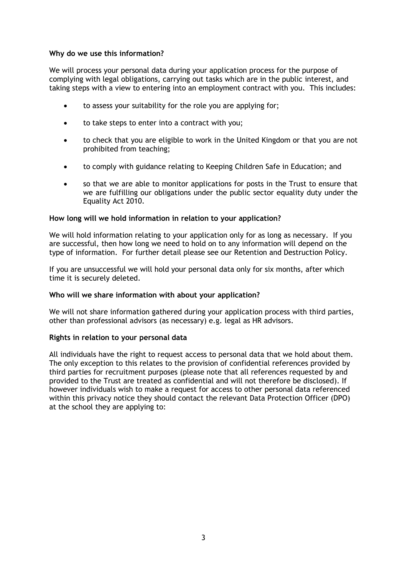### **Why do we use this information?**

We will process your personal data during your application process for the purpose of complying with legal obligations, carrying out tasks which are in the public interest, and taking steps with a view to entering into an employment contract with you. This includes:

- to assess your suitability for the role you are applying for;
- to take steps to enter into a contract with you;
- to check that you are eligible to work in the United Kingdom or that you are not prohibited from teaching;
- to comply with guidance relating to Keeping Children Safe in Education; and
- so that we are able to monitor applications for posts in the Trust to ensure that we are fulfilling our obligations under the public sector equality duty under the Equality Act 2010.

### **How long will we hold information in relation to your application?**

We will hold information relating to your application only for as long as necessary. If you are successful, then how long we need to hold on to any information will depend on the type of information. For further detail please see our Retention and Destruction Policy.

If you are unsuccessful we will hold your personal data only for six months, after which time it is securely deleted.

#### **Who will we share information with about your application?**

We will not share information gathered during your application process with third parties, other than professional advisors (as necessary) e.g. legal as HR advisors.

#### **Rights in relation to your personal data**

All individuals have the right to request access to personal data that we hold about them. The only exception to this relates to the provision of confidential references provided by third parties for recruitment purposes (please note that all references requested by and provided to the Trust are treated as confidential and will not therefore be disclosed). If however individuals wish to make a request for access to other personal data referenced within this privacy notice they should contact the relevant Data Protection Officer (DPO) at the school they are applying to: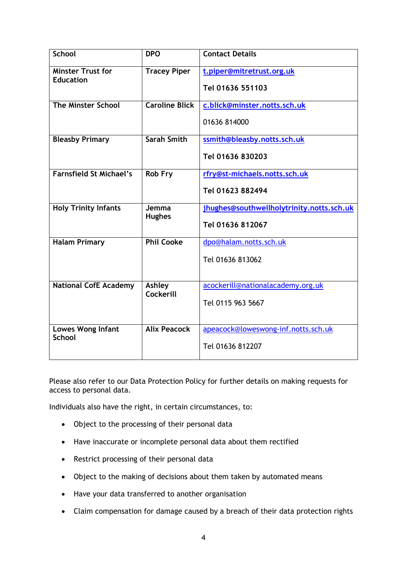| <b>School</b>                                | <b>DPO</b>             | <b>Contact Details</b>                    |
|----------------------------------------------|------------------------|-------------------------------------------|
| <b>Minster Trust for</b><br><b>Education</b> | <b>Tracey Piper</b>    | t.piper@mitretrust.org.uk                 |
|                                              |                        | Tel 01636 551103                          |
| <b>The Minster School</b>                    | <b>Caroline Blick</b>  | c.blick@minster.notts.sch.uk              |
|                                              |                        | 01636 814000                              |
| <b>Bleasby Primary</b>                       | <b>Sarah Smith</b>     | ssmith@bleasby.notts.sch.uk               |
|                                              |                        | Tel 01636 830203                          |
| <b>Farnsfield St Michael's</b>               | Rob Fry                | rfry@st-michaels.notts.sch.uk             |
|                                              |                        | Tel 01623 882494                          |
| <b>Holy Trinity Infants</b>                  | Jemma<br><b>Hughes</b> | jhughes@southwellholytrinity.notts.sch.uk |
|                                              |                        | Tel 01636 812067                          |
| <b>Halam Primary</b>                         | <b>Phil Cooke</b>      | dpo@halam.notts.sch.uk                    |
|                                              |                        | Tel 01636 813062                          |
|                                              |                        |                                           |
| <b>National CofE Academy</b>                 | Ashley<br>Cockerill    | acockerill@nationalacademy.org.uk         |
|                                              |                        | Tel 0115 963 5667                         |
|                                              |                        |                                           |
| Lowes Wong Infant<br><b>School</b>           | <b>Alix Peacock</b>    | apeacock@loweswong-inf.notts.sch.uk       |
|                                              |                        |                                           |

Please also refer to our Data Protection Policy for further details on making requests for access to personal data.

Individuals also have the right, in certain circumstances, to:

- Object to the processing of their personal data
- Have inaccurate or incomplete personal data about them rectified
- Restrict processing of their personal data
- Object to the making of decisions about them taken by automated means
- Have your data transferred to another organisation
- Claim compensation for damage caused by a breach of their data protection rights